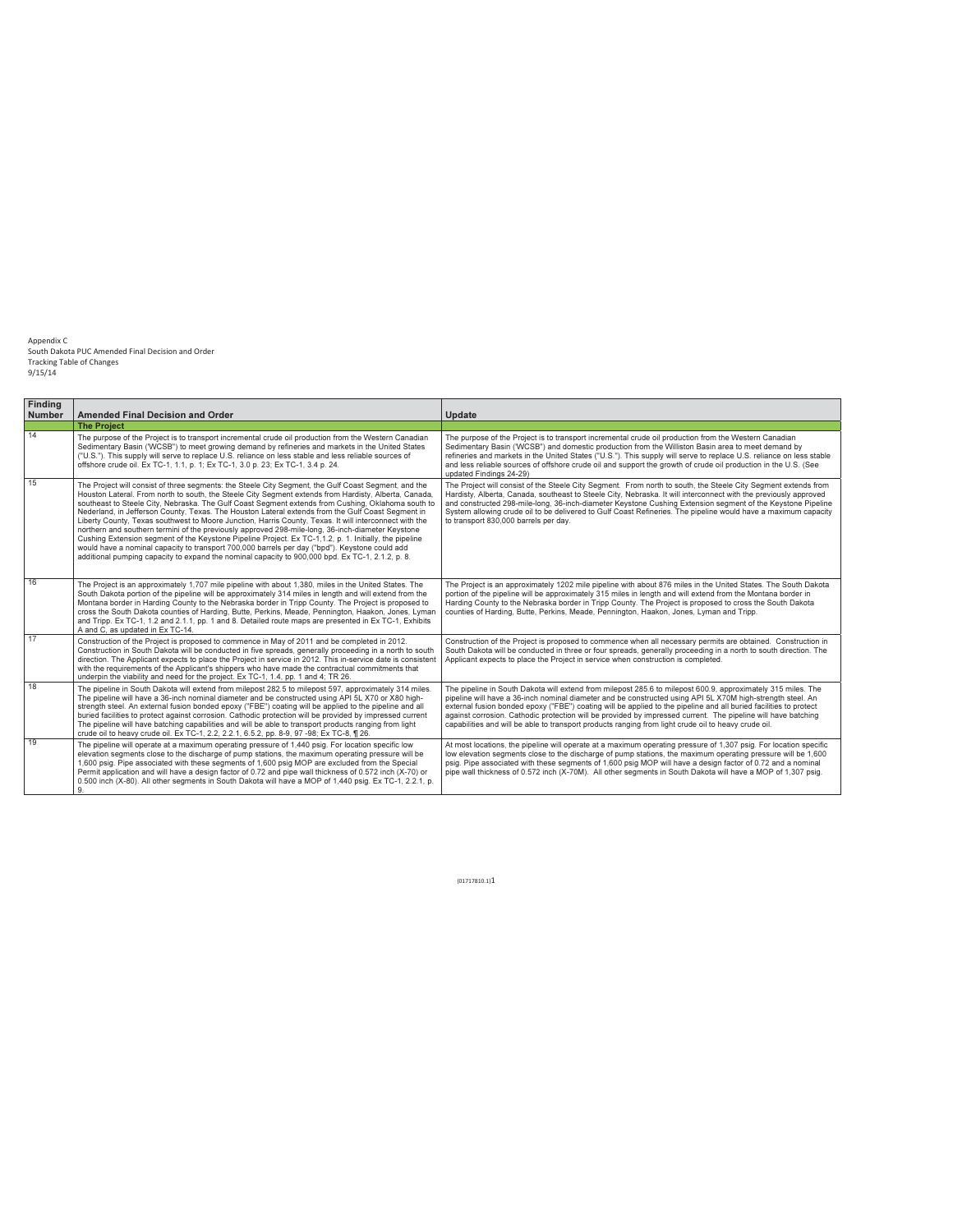| <b>Finding</b><br><b>Number</b> | <b>Amended Final Decision and Order</b>                                                                                                                                                                                                                                                                                                                                                                                                                                                                                                                                                                                                                                                                                                                                                                                                                                                                                                                 | Update                                                                                                                                                                                                                                                                                                                                                                                                                                                                                                                                                                   |
|---------------------------------|---------------------------------------------------------------------------------------------------------------------------------------------------------------------------------------------------------------------------------------------------------------------------------------------------------------------------------------------------------------------------------------------------------------------------------------------------------------------------------------------------------------------------------------------------------------------------------------------------------------------------------------------------------------------------------------------------------------------------------------------------------------------------------------------------------------------------------------------------------------------------------------------------------------------------------------------------------|--------------------------------------------------------------------------------------------------------------------------------------------------------------------------------------------------------------------------------------------------------------------------------------------------------------------------------------------------------------------------------------------------------------------------------------------------------------------------------------------------------------------------------------------------------------------------|
|                                 | <b>The Project</b>                                                                                                                                                                                                                                                                                                                                                                                                                                                                                                                                                                                                                                                                                                                                                                                                                                                                                                                                      |                                                                                                                                                                                                                                                                                                                                                                                                                                                                                                                                                                          |
| 14                              | The purpose of the Project is to transport incremental crude oil production from the Western Canadian<br>Sedimentary Basin ('WCSB") to meet growing demand by refineries and markets in the United States<br>("U.S."). This supply will serve to replace U.S. reliance on less stable and less reliable sources of<br>offshore crude oil. Ex TC-1, 1.1, p. 1; Ex TC-1, 3.0 p. 23; Ex TC-1, 3.4 p. 24.                                                                                                                                                                                                                                                                                                                                                                                                                                                                                                                                                   | The purpose of the Project is to transport incremental crude oil production from the Western Canadian<br>Sedimentary Basin ('WCSB") and domestic production from the Williston Basin area to meet demand by<br>refineries and markets in the United States ("U.S."). This supply will serve to replace U.S. reliance on less stable<br>and less reliable sources of offshore crude oil and support the growth of crude oil production in the U.S. (See<br>updated Findings 24-29)                                                                                        |
| 15                              | The Project will consist of three segments: the Steele City Segment, the Gulf Coast Segment, and the<br>Houston Lateral. From north to south, the Steele City Segment extends from Hardisty, Alberta, Canada,<br>southeast to Steele City, Nebraska. The Gulf Coast Segment extends from Cushing, Oklahoma south to<br>Nederland, in Jefferson County, Texas. The Houston Lateral extends from the Gulf Coast Segment in<br>Liberty County, Texas southwest to Moore Junction, Harris County, Texas. It will interconnect with the<br>northern and southern termini of the previously approved 298-mile-long, 36-inch-diameter Keystone<br>Cushing Extension segment of the Keystone Pipeline Project. Ex TC-1,1.2, p. 1. Initially, the pipeline<br>would have a nominal capacity to transport 700,000 barrels per day ("bpd"). Keystone could add<br>additional pumping capacity to expand the nominal capacity to 900,000 bpd. Ex TC-1, 2.1.2, p. 8. | The Project will consist of the Steele City Segment. From north to south, the Steele City Segment extends from<br>Hardisty, Alberta, Canada, southeast to Steele City, Nebraska, It will interconnect with the previously approved<br>and constructed 298-mile-long, 36-inch-diameter Keystone Cushing Extension segment of the Keystone Pipeline<br>System allowing crude oil to be delivered to Gulf Coast Refineries. The pipeline would have a maximum capacity<br>to transport 830,000 barrels per day.                                                             |
| 16                              | The Project is an approximately 1,707 mile pipeline with about 1,380, miles in the United States. The<br>South Dakota portion of the pipeline will be approximately 314 miles in length and will extend from the<br>Montana border in Harding County to the Nebraska border in Tripp County. The Project is proposed to<br>cross the South Dakota counties of Harding, Butte, Perkins, Meade, Pennington, Haakon, Jones, Lyman<br>and Tripp. Ex TC-1, 1.2 and 2.1.1, pp. 1 and 8. Detailed route maps are presented in Ex TC-1, Exhibits<br>A and C. as updated in Ex TC-14.                                                                                                                                                                                                                                                                                                                                                                            | The Project is an approximately 1202 mile pipeline with about 876 miles in the United States. The South Dakota<br>portion of the pipeline will be approximately 315 miles in length and will extend from the Montana border in<br>Harding County to the Nebraska border in Tripp County. The Project is proposed to cross the South Dakota<br>counties of Harding, Butte, Perkins, Meade, Pennington, Haakon, Jones, Lyman and Tripp.                                                                                                                                    |
| 17                              | Construction of the Project is proposed to commence in May of 2011 and be completed in 2012.<br>Construction in South Dakota will be conducted in five spreads, generally proceeding in a north to south<br>direction. The Applicant expects to place the Project in service in 2012. This in-service date is consistent<br>with the requirements of the Applicant's shippers who have made the contractual commitments that<br>underpin the viability and need for the project. Ex TC-1, 1.4, pp. 1 and 4; TR 26.                                                                                                                                                                                                                                                                                                                                                                                                                                      | Construction of the Project is proposed to commence when all necessary permits are obtained. Construction in<br>South Dakota will be conducted in three or four spreads, generally proceeding in a north to south direction. The<br>Applicant expects to place the Project in service when construction is completed.                                                                                                                                                                                                                                                    |
| 18                              | The pipeline in South Dakota will extend from milepost 282.5 to milepost 597, approximately 314 miles.<br>The pipeline will have a 36-inch nominal diameter and be constructed using API 5L X70 or X80 high-<br>strength steel. An external fusion bonded epoxy ("FBE") coating will be applied to the pipeline and all<br>buried facilities to protect against corrosion. Cathodic protection will be provided by impressed current<br>The pipeline will have batching capabilities and will be able to transport products ranging from light<br>crude oil to heavy crude oil. Ex TC-1, 2.2, 2.2.1, 6.5.2, pp. 8-9, 97-98; Ex TC-8, ¶ 26.                                                                                                                                                                                                                                                                                                              | The pipeline in South Dakota will extend from milepost 285.6 to milepost 600.9, approximately 315 miles. The<br>pipeline will have a 36-inch nominal diameter and be constructed using API 5L X70M high-strength steel. An<br>external fusion bonded epoxy ("FBE") coating will be applied to the pipeline and all buried facilities to protect<br>against corrosion. Cathodic protection will be provided by impressed current. The pipeline will have batching<br>capabilities and will be able to transport products ranging from light crude oil to heavy crude oil. |
| 19                              | The pipeline will operate at a maximum operating pressure of 1,440 psig. For location specific low<br>elevation segments close to the discharge of pump stations, the maximum operating pressure will be<br>1,600 psig. Pipe associated with these segments of 1,600 psig MOP are excluded from the Special<br>Permit application and will have a design factor of 0.72 and pipe wall thickness of 0.572 inch (X-70) or<br>0.500 inch (X-80). All other segments in South Dakota will have a MOP of 1,440 psig. Ex TC-1, 2.2.1, p.<br>9.                                                                                                                                                                                                                                                                                                                                                                                                                | At most locations, the pipeline will operate at a maximum operating pressure of 1,307 psig. For location specific<br>low elevation segments close to the discharge of pump stations, the maximum operating pressure will be 1,600<br>psig. Pipe associated with these segments of 1,600 psig MOP will have a design factor of 0.72 and a nominal<br>pipe wall thickness of 0.572 inch (X-70M). All other segments in South Dakota will have a MOP of 1,307 psig.                                                                                                         |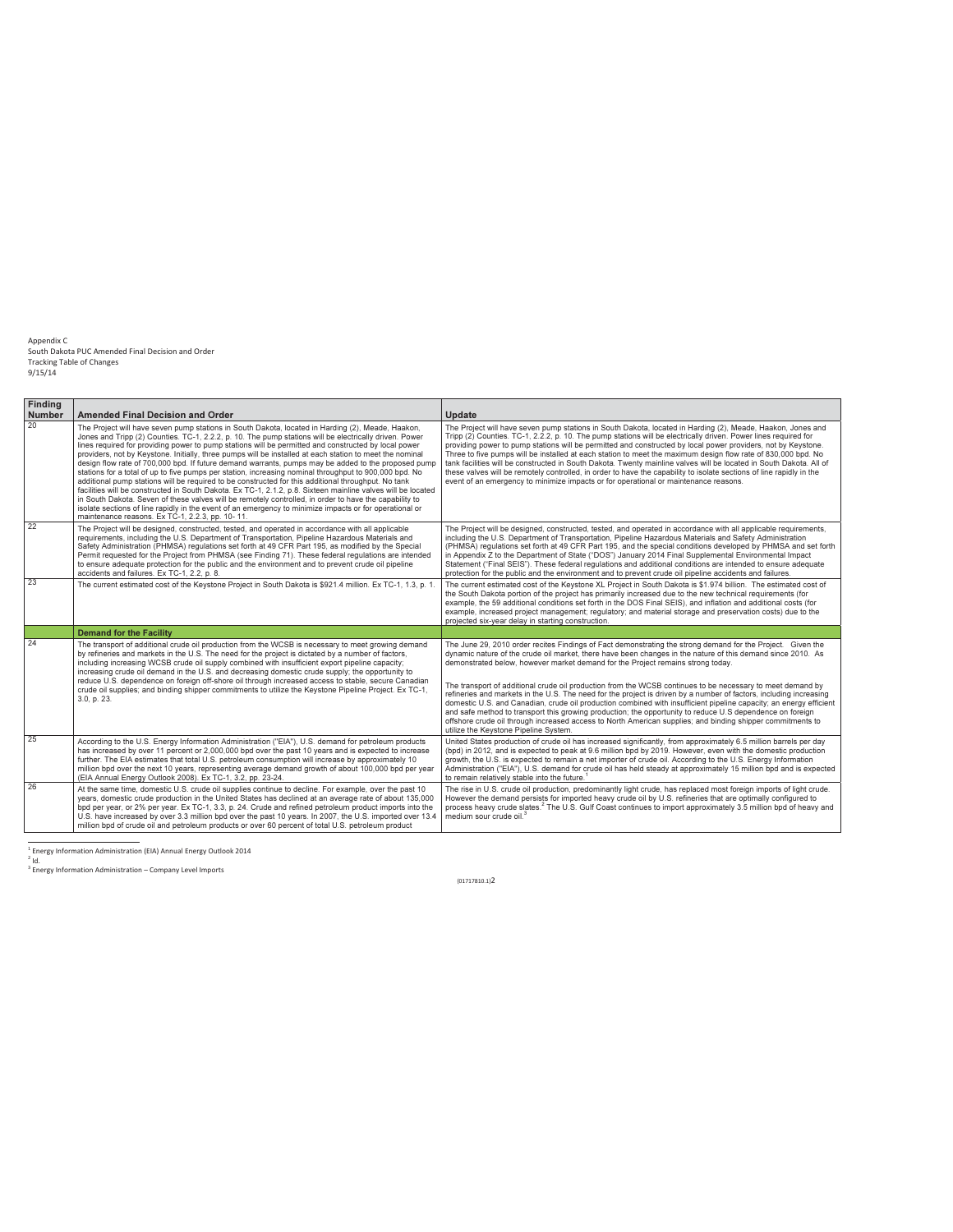| Finding<br><b>Number</b> | <b>Amended Final Decision and Order</b>                                                                                                                                                                                                                                                                                                                                                                                                                                                                                                                                                                                                                                                                                                                                                                                                                                                                                                                                                                                                                                                                                                         | <b>Update</b>                                                                                                                                                                                                                                                                                                                                                                                                                                                                                                                                                                                                                                                                                                                                                                                                                                                                                                                               |
|--------------------------|-------------------------------------------------------------------------------------------------------------------------------------------------------------------------------------------------------------------------------------------------------------------------------------------------------------------------------------------------------------------------------------------------------------------------------------------------------------------------------------------------------------------------------------------------------------------------------------------------------------------------------------------------------------------------------------------------------------------------------------------------------------------------------------------------------------------------------------------------------------------------------------------------------------------------------------------------------------------------------------------------------------------------------------------------------------------------------------------------------------------------------------------------|---------------------------------------------------------------------------------------------------------------------------------------------------------------------------------------------------------------------------------------------------------------------------------------------------------------------------------------------------------------------------------------------------------------------------------------------------------------------------------------------------------------------------------------------------------------------------------------------------------------------------------------------------------------------------------------------------------------------------------------------------------------------------------------------------------------------------------------------------------------------------------------------------------------------------------------------|
| 20                       | The Project will have seven pump stations in South Dakota, located in Harding (2), Meade, Haakon,<br>Jones and Tripp (2) Counties. TC-1, 2.2.2, p. 10. The pump stations will be electrically driven. Power<br>lines required for providing power to pump stations will be permitted and constructed by local power<br>providers, not by Keystone. Initially, three pumps will be installed at each station to meet the nominal<br>design flow rate of 700,000 bpd. If future demand warrants, pumps may be added to the proposed pump<br>stations for a total of up to five pumps per station, increasing nominal throughput to 900,000 bpd. No<br>additional pump stations will be required to be constructed for this additional throughput. No tank<br>facilities will be constructed in South Dakota. Ex TC-1, 2.1.2, p.8. Sixteen mainline valves will be located<br>in South Dakota. Seven of these valves will be remotely controlled, in order to have the capability to<br>isolate sections of line rapidly in the event of an emergency to minimize impacts or for operational or<br>maintenance reasons. Ex TC-1, 2.2.3, pp. 10-11. | The Project will have seven pump stations in South Dakota, located in Harding (2), Meade, Haakon, Jones and<br>Tripp (2) Counties. TC-1, 2.2.2, p. 10. The pump stations will be electrically driven. Power lines required for<br>providing power to pump stations will be permitted and constructed by local power providers, not by Keystone.<br>Three to five pumps will be installed at each station to meet the maximum design flow rate of 830,000 bpd. No<br>tank facilities will be constructed in South Dakota. Twenty mainline valves will be located in South Dakota. All of<br>these valves will be remotely controlled, in order to have the capability to isolate sections of line rapidly in the<br>event of an emergency to minimize impacts or for operational or maintenance reasons.                                                                                                                                     |
| 22                       | The Project will be designed, constructed, tested, and operated in accordance with all applicable<br>requirements, including the U.S. Department of Transportation. Pipeline Hazardous Materials and<br>Safety Administration (PHMSA) regulations set forth at 49 CFR Part 195, as modified by the Special<br>Permit requested for the Project from PHMSA (see Finding 71). These federal regulations are intended<br>to ensure adequate protection for the public and the environment and to prevent crude oil pipeline<br>accidents and failures. Ex TC-1, 2.2, p. 8.                                                                                                                                                                                                                                                                                                                                                                                                                                                                                                                                                                         | The Project will be designed, constructed, tested, and operated in accordance with all applicable requirements,<br>including the U.S. Department of Transportation. Pipeline Hazardous Materials and Safety Administration<br>(PHMSA) regulations set forth at 49 CFR Part 195, and the special conditions developed by PHMSA and set forth<br>in Appendix Z to the Department of State ("DOS") January 2014 Final Supplemental Environmental Impact<br>Statement ("Final SEIS"). These federal regulations and additional conditions are intended to ensure adequate<br>protection for the public and the environment and to prevent crude oil pipeline accidents and failures.                                                                                                                                                                                                                                                            |
| 23                       | The current estimated cost of the Keystone Project in South Dakota is \$921.4 million. Ex TC-1, 1.3, p. 1.                                                                                                                                                                                                                                                                                                                                                                                                                                                                                                                                                                                                                                                                                                                                                                                                                                                                                                                                                                                                                                      | The current estimated cost of the Keystone XL Project in South Dakota is \$1.974 billion. The estimated cost of<br>the South Dakota portion of the project has primarily increased due to the new technical requirements (for<br>example, the 59 additional conditions set forth in the DOS Final SEIS), and inflation and additional costs (for<br>example, increased project management; regulatory; and material storage and preservation costs) due to the<br>projected six-year delay in starting construction.                                                                                                                                                                                                                                                                                                                                                                                                                        |
|                          | <b>Demand for the Facility</b>                                                                                                                                                                                                                                                                                                                                                                                                                                                                                                                                                                                                                                                                                                                                                                                                                                                                                                                                                                                                                                                                                                                  |                                                                                                                                                                                                                                                                                                                                                                                                                                                                                                                                                                                                                                                                                                                                                                                                                                                                                                                                             |
| 24                       | The transport of additional crude oil production from the WCSB is necessary to meet growing demand<br>by refineries and markets in the U.S. The need for the project is dictated by a number of factors,<br>including increasing WCSB crude oil supply combined with insufficient export pipeline capacity:<br>increasing crude oil demand in the U.S. and decreasing domestic crude supply; the opportunity to<br>reduce U.S. dependence on foreign off-shore oil through increased access to stable, secure Canadian<br>crude oil supplies; and binding shipper commitments to utilize the Keystone Pipeline Project. Ex TC-1,<br>3.0, p. 23.                                                                                                                                                                                                                                                                                                                                                                                                                                                                                                 | The June 29, 2010 order recites Findings of Fact demonstrating the strong demand for the Project. Given the<br>dynamic nature of the crude oil market, there have been changes in the nature of this demand since 2010. As<br>demonstrated below, however market demand for the Project remains strong today.<br>The transport of additional crude oil production from the WCSB continues to be necessary to meet demand by<br>refineries and markets in the U.S. The need for the project is driven by a number of factors, including increasing<br>domestic U.S. and Canadian, crude oil production combined with insufficient pipeline capacity; an energy efficient<br>and safe method to transport this growing production; the opportunity to reduce U.S dependence on foreign<br>offshore crude oil through increased access to North American supplies; and binding shipper commitments to<br>utilize the Keystone Pipeline System. |
| 25                       | According to the U.S. Energy Information Administration ("EIA"), U.S. demand for petroleum products<br>has increased by over 11 percent or 2,000,000 bpd over the past 10 years and is expected to increase<br>further. The EIA estimates that total U.S. petroleum consumption will increase by approximately 10<br>million bpd over the next 10 years, representing average demand growth of about 100,000 bpd per year<br>(EIA Annual Energy Outlook 2008). Ex TC-1, 3.2, pp. 23-24.                                                                                                                                                                                                                                                                                                                                                                                                                                                                                                                                                                                                                                                         | United States production of crude oil has increased significantly, from approximately 6.5 million barrels per day<br>(bpd) in 2012, and is expected to peak at 9.6 million bpd by 2019. However, even with the domestic production<br>growth, the U.S. is expected to remain a net importer of crude oil. According to the U.S. Energy Information<br>Administration ("EIA"), U.S. demand for crude oil has held steady at approximately 15 million bpd and is expected<br>to remain relatively stable into the future.                                                                                                                                                                                                                                                                                                                                                                                                                     |
| 26                       | At the same time, domestic U.S. crude oil supplies continue to decline. For example, over the past 10<br>vears, domestic crude production in the United States has declined at an average rate of about 135,000<br>bpd per year, or 2% per year. Ex TC-1, 3.3, p. 24. Crude and refined petroleum product imports into the<br>U.S. have increased by over 3.3 million bpd over the past 10 years. In 2007, the U.S. imported over 13.4<br>million bpd of crude oil and petroleum products or over 60 percent of total U.S. petroleum product                                                                                                                                                                                                                                                                                                                                                                                                                                                                                                                                                                                                    | The rise in U.S. crude oil production, predominantly light crude, has replaced most foreign imports of light crude.<br>However the demand persists for imported heavy crude oil by U.S. refineries that are optimally configured to<br>process heavy crude slates. <sup>2</sup> The U.S. Gulf Coast continues to import approximately 3.5 million bpd of heavy and<br>medium sour crude oil. <sup>3</sup>                                                                                                                                                                                                                                                                                                                                                                                                                                                                                                                                   |

<sup>-&</sup>lt;br><sup>1</sup> Energy Information Administration (EIA) Annual Energy Outlook 2014<br><sup>3</sup> d.<br><sup>3</sup> Energy Information Administration – Company Level Imports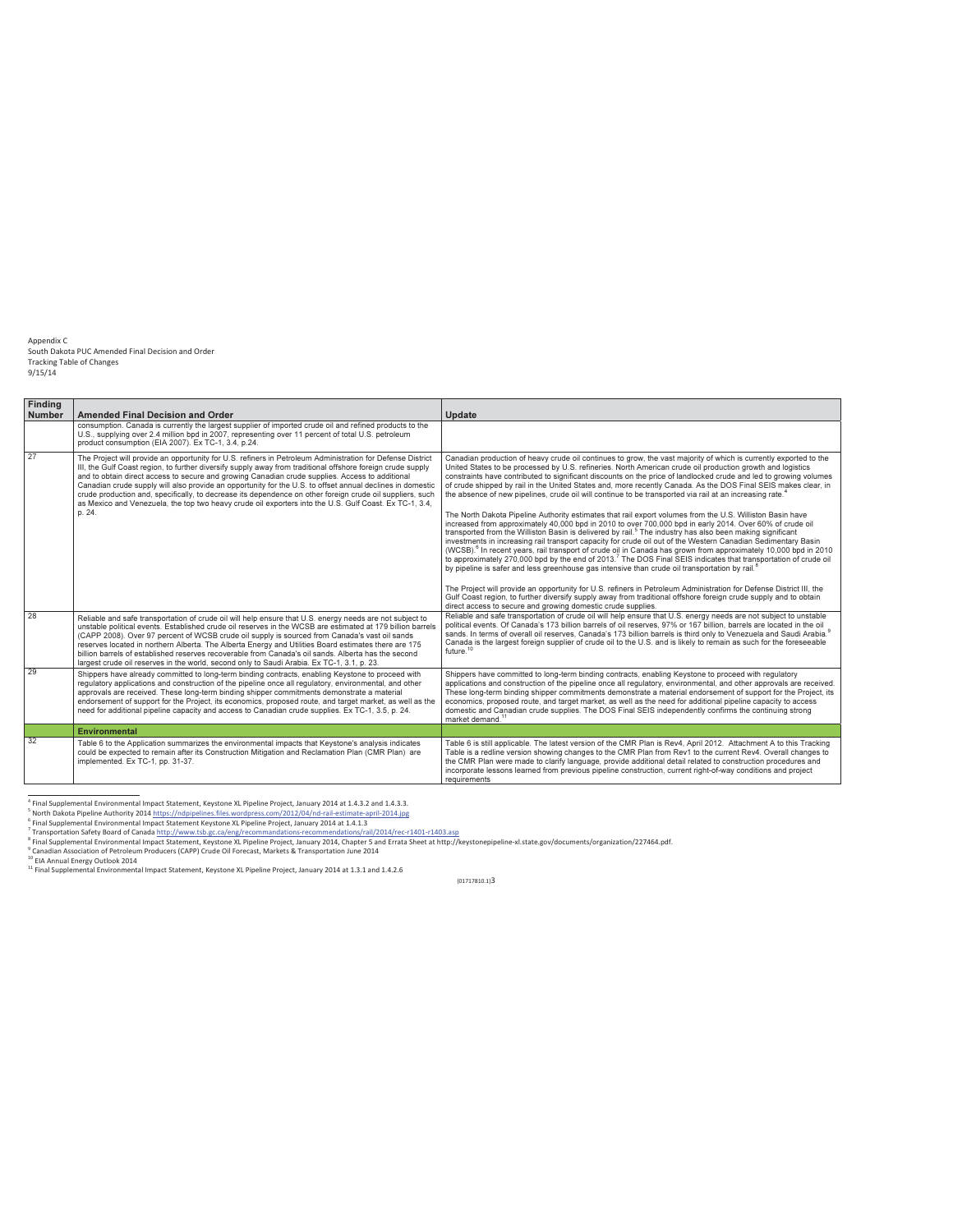| Finding       |                                                                                                                                                                                                                                                                                                                                                                                                                                                                                                                                                                                                                                                                            |                                                                                                                                                                                                                                                                                                                                                                                                                                                                                                                                                                                                                                                                                                                                                                                                                                                                                                                                                                                                                                                                                                                                                                                                                                                                                                                                                                                                                                                                                                                                                                                                                                                                                                                                             |
|---------------|----------------------------------------------------------------------------------------------------------------------------------------------------------------------------------------------------------------------------------------------------------------------------------------------------------------------------------------------------------------------------------------------------------------------------------------------------------------------------------------------------------------------------------------------------------------------------------------------------------------------------------------------------------------------------|---------------------------------------------------------------------------------------------------------------------------------------------------------------------------------------------------------------------------------------------------------------------------------------------------------------------------------------------------------------------------------------------------------------------------------------------------------------------------------------------------------------------------------------------------------------------------------------------------------------------------------------------------------------------------------------------------------------------------------------------------------------------------------------------------------------------------------------------------------------------------------------------------------------------------------------------------------------------------------------------------------------------------------------------------------------------------------------------------------------------------------------------------------------------------------------------------------------------------------------------------------------------------------------------------------------------------------------------------------------------------------------------------------------------------------------------------------------------------------------------------------------------------------------------------------------------------------------------------------------------------------------------------------------------------------------------------------------------------------------------|
| <b>Number</b> | <b>Amended Final Decision and Order</b>                                                                                                                                                                                                                                                                                                                                                                                                                                                                                                                                                                                                                                    | <b>Update</b>                                                                                                                                                                                                                                                                                                                                                                                                                                                                                                                                                                                                                                                                                                                                                                                                                                                                                                                                                                                                                                                                                                                                                                                                                                                                                                                                                                                                                                                                                                                                                                                                                                                                                                                               |
|               | consumption. Canada is currently the largest supplier of imported crude oil and refined products to the<br>U.S., supplying over 2.4 million bpd in 2007, representing over 11 percent of total U.S. petroleum<br>product consumption (EIA 2007). Ex TC-1, 3.4, p.24.                                                                                                                                                                                                                                                                                                                                                                                                       |                                                                                                                                                                                                                                                                                                                                                                                                                                                                                                                                                                                                                                                                                                                                                                                                                                                                                                                                                                                                                                                                                                                                                                                                                                                                                                                                                                                                                                                                                                                                                                                                                                                                                                                                             |
| 27            | The Project will provide an opportunity for U.S. refiners in Petroleum Administration for Defense District<br>III, the Gulf Coast region, to further diversify supply away from traditional offshore foreign crude supply<br>and to obtain direct access to secure and growing Canadian crude supplies. Access to additional<br>Canadian crude supply will also provide an opportunity for the U.S. to offset annual declines in domestic<br>crude production and, specifically, to decrease its dependence on other foreign crude oil suppliers, such<br>as Mexico and Venezuela, the top two heavy crude oil exporters into the U.S. Gulf Coast. Ex TC-1, 3.4,<br>p. 24. | Canadian production of heavy crude oil continues to grow, the vast majority of which is currently exported to the<br>United States to be processed by U.S. refineries. North American crude oil production growth and logistics<br>constraints have contributed to significant discounts on the price of landlocked crude and led to growing volumes<br>of crude shipped by rail in the United States and, more recently Canada. As the DOS Final SEIS makes clear, in<br>the absence of new pipelines, crude oil will continue to be transported via rail at an increasing rate. <sup>4</sup><br>The North Dakota Pipeline Authority estimates that rail export volumes from the U.S. Williston Basin have<br>increased from approximately 40,000 bpd in 2010 to over 700,000 bpd in early 2014. Over 60% of crude oil<br>transported from the Williston Basin is delivered by rail. <sup>5</sup> The industry has also been making significant<br>investments in increasing rail transport capacity for crude oil out of the Western Canadian Sedimentary Basin<br>(WCSB). <sup>6</sup> In recent years, rail transport of crude oil in Canada has grown from approximately 10,000 bpd in 2010<br>to approximately 270,000 bpd by the end of 2013. The DOS Final SEIS indicates that transportation of crude oil<br>by pipeline is safer and less greenhouse gas intensive than crude oil transportation by rail. <sup>8</sup><br>The Project will provide an opportunity for U.S. refiners in Petroleum Administration for Defense District III, the<br>Gulf Coast region, to further diversify supply away from traditional offshore foreign crude supply and to obtain<br>direct access to secure and growing domestic crude supplies. |
| 28            | Reliable and safe transportation of crude oil will help ensure that U.S. energy needs are not subject to<br>unstable political events. Established crude oil reserves in the WCSB are estimated at 179 billion barrels<br>(CAPP 2008). Over 97 percent of WCSB crude oil supply is sourced from Canada's vast oil sands<br>reserves located in northern Alberta. The Alberta Energy and Utilities Board estimates there are 175<br>billion barrels of established reserves recoverable from Canada's oil sands. Alberta has the second<br>largest crude oil reserves in the world, second only to Saudi Arabia, Ex TC-1, 3.1, p. 23.                                       | Reliable and safe transportation of crude oil will help ensure that U.S. energy needs are not subject to unstable<br>political events. Of Canada's 173 billion barrels of oil reserves, 97% or 167 billion, barrels are located in the oil<br>sands. In terms of overall oil reserves, Canada's 173 billion barrels is third only to Venezuela and Saudi Arabia. <sup>8</sup><br>Canada is the largest foreign supplier of crude oil to the U.S. and is likely to remain as such for the foreseeable<br>future. <sup>10</sup>                                                                                                                                                                                                                                                                                                                                                                                                                                                                                                                                                                                                                                                                                                                                                                                                                                                                                                                                                                                                                                                                                                                                                                                                               |
| 29            | Shippers have already committed to long-term binding contracts, enabling Keystone to proceed with<br>regulatory applications and construction of the pipeline once all regulatory, environmental, and other<br>approvals are received. These long-term binding shipper commitments demonstrate a material<br>endorsement of support for the Project, its economics, proposed route, and target market, as well as the<br>need for additional pipeline capacity and access to Canadian crude supplies. Ex TC-1, 3.5, p. 24.                                                                                                                                                 | Shippers have committed to long-term binding contracts, enabling Keystone to proceed with regulatory<br>applications and construction of the pipeline once all regulatory, environmental, and other approvals are received.<br>These long-term binding shipper commitments demonstrate a material endorsement of support for the Project, its<br>economics, proposed route, and target market, as well as the need for additional pipeline capacity to access<br>domestic and Canadian crude supplies. The DOS Final SEIS independently confirms the continuing strong<br>market demand. <sup>11</sup>                                                                                                                                                                                                                                                                                                                                                                                                                                                                                                                                                                                                                                                                                                                                                                                                                                                                                                                                                                                                                                                                                                                                      |
|               | <b>Environmental</b>                                                                                                                                                                                                                                                                                                                                                                                                                                                                                                                                                                                                                                                       |                                                                                                                                                                                                                                                                                                                                                                                                                                                                                                                                                                                                                                                                                                                                                                                                                                                                                                                                                                                                                                                                                                                                                                                                                                                                                                                                                                                                                                                                                                                                                                                                                                                                                                                                             |
| 32            | Table 6 to the Application summarizes the environmental impacts that Keystone's analysis indicates<br>could be expected to remain after its Construction Mitigation and Reclamation Plan (CMR Plan) are<br>implemented. Ex TC-1, pp. 31-37.                                                                                                                                                                                                                                                                                                                                                                                                                                | Table 6 is still applicable. The latest version of the CMR Plan is Rev4, April 2012. Attachment A to this Tracking<br>Table is a redline version showing changes to the CMR Plan from Rev1 to the current Rev4. Overall changes to<br>the CMR Plan were made to clarify language, provide additional detail related to construction procedures and<br>incorporate lessons learned from previous pipeline construction, current right-of-way conditions and project<br>requirements                                                                                                                                                                                                                                                                                                                                                                                                                                                                                                                                                                                                                                                                                                                                                                                                                                                                                                                                                                                                                                                                                                                                                                                                                                                          |

<sup>4&</sup>lt;br>Final Supplemental Environmental Impact Statement, Keystone XL Pipeline Project, January 2014 at 1.4.3.2 and 1.4.3.3.

s<br>North Dakota Pipeline Authority 2014 https://ndpipelines.files.wordpress.com/2012/04/nd-rail-estimate-april-2014.jpg

<sup>&</sup>lt;sup>6</sup> Final Supplemental Environmental Impact Statement Keystone XL Pipeline Project, January 2014 at 1.4.1.3

<sup>7&</sup>lt;br>Transportation Safety Board of Canada http://www.tsb.gc.ca/eng/recommandations-recommendations/rail/2014/rec-r1401-r1403.asp

 $\langle$  Transportation Safety Board of Canada <u>http://www.tsb.gc.ca/eng/recommandations-recommendations/rail/2014/rec-r1401-1403.asp</u><br><sup>8</sup> Ennaldin Association of Petroleum Producers (Capelice Different Scheef Scheef Scheef an

<sup>&</sup>lt;sup>10</sup> EIA Annual Energy Outlook 2014

<sup>&</sup>lt;sup>11</sup> Final Supplemental Environmental Impact Statement, Keystone XL Pipeline Project, January 2014 at 1.3.1 and 1.4.2.6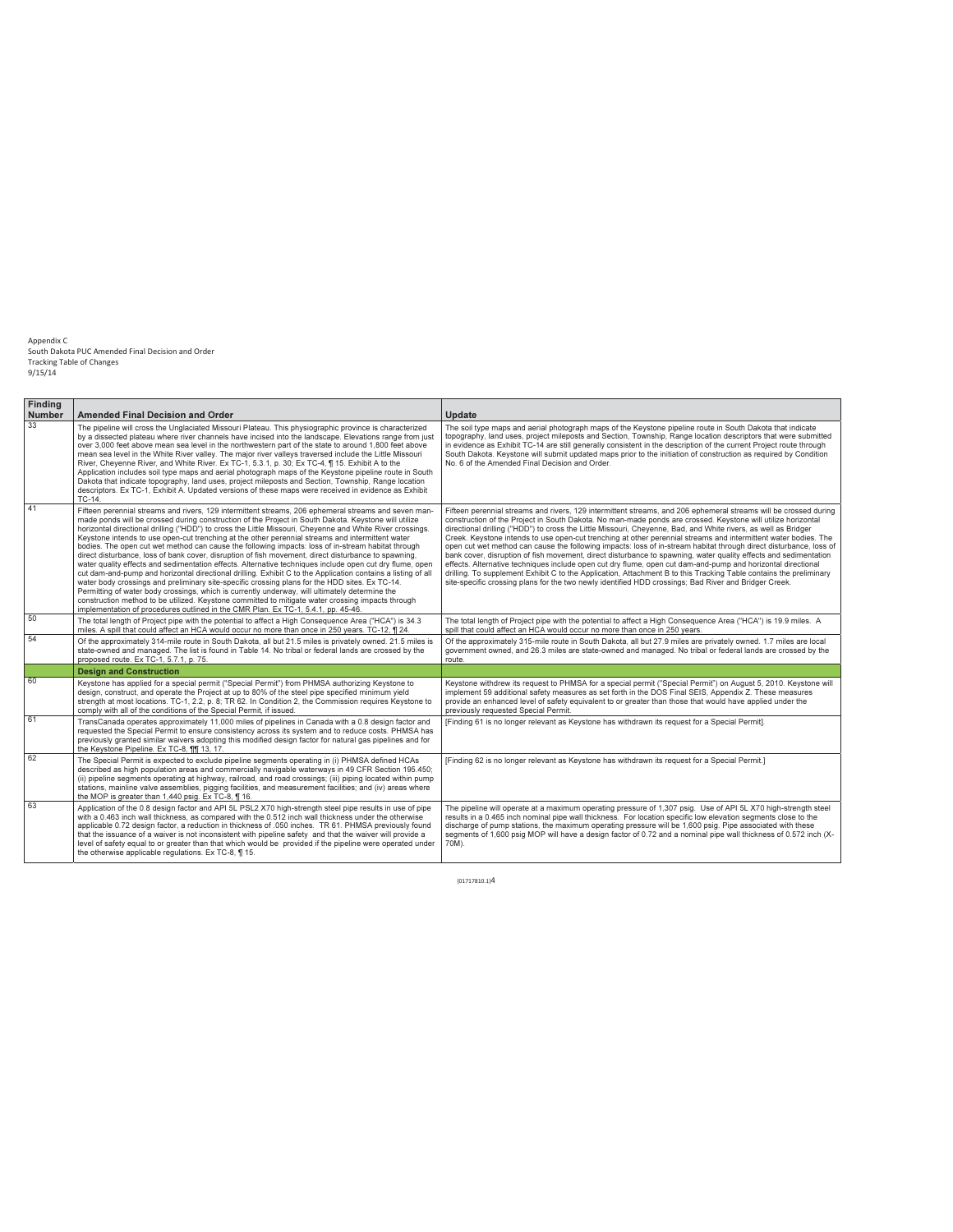| <b>Findina</b><br><b>Number</b> | <b>Amended Final Decision and Order</b>                                                                                                                                                                                                                                                                                                                                                                                                                                                                                                                                                                                                                                                                                                                                                                                                                                                                                                                                                                                                                                                                                                                                                                                                                               | <b>Update</b>                                                                                                                                                                                                                                                                                                                                                                                                                                                                                                                                                                                                                                                                                                                                                                                                                                                                                                                                                                                                                                                  |
|---------------------------------|-----------------------------------------------------------------------------------------------------------------------------------------------------------------------------------------------------------------------------------------------------------------------------------------------------------------------------------------------------------------------------------------------------------------------------------------------------------------------------------------------------------------------------------------------------------------------------------------------------------------------------------------------------------------------------------------------------------------------------------------------------------------------------------------------------------------------------------------------------------------------------------------------------------------------------------------------------------------------------------------------------------------------------------------------------------------------------------------------------------------------------------------------------------------------------------------------------------------------------------------------------------------------|----------------------------------------------------------------------------------------------------------------------------------------------------------------------------------------------------------------------------------------------------------------------------------------------------------------------------------------------------------------------------------------------------------------------------------------------------------------------------------------------------------------------------------------------------------------------------------------------------------------------------------------------------------------------------------------------------------------------------------------------------------------------------------------------------------------------------------------------------------------------------------------------------------------------------------------------------------------------------------------------------------------------------------------------------------------|
| 33                              | The pipeline will cross the Unglaciated Missouri Plateau. This physiographic province is characterized<br>by a dissected plateau where river channels have incised into the landscape. Elevations range from just<br>over 3,000 feet above mean sea level in the northwestern part of the state to around 1,800 feet above<br>mean sea level in the White River valley. The major river valleys traversed include the Little Missouri<br>River, Cheyenne River, and White River. Ex TC-1, 5.3.1, p. 30; Ex TC-4, ¶ 15. Exhibit A to the<br>Application includes soil type maps and aerial photograph maps of the Keystone pipeline route in South<br>Dakota that indicate topography, land uses, project mileposts and Section, Township, Range location<br>descriptors. Ex TC-1, Exhibit A. Updated versions of these maps were received in evidence as Exhibit<br>TC-14.                                                                                                                                                                                                                                                                                                                                                                                            | The soil type maps and aerial photograph maps of the Keystone pipeline route in South Dakota that indicate<br>topography, land uses, project mileposts and Section, Township, Range location descriptors that were submitted<br>in evidence as Exhibit TC-14 are still generally consistent in the description of the current Project route through<br>South Dakota. Keystone will submit updated maps prior to the initiation of construction as required by Condition<br>No. 6 of the Amended Final Decision and Order.                                                                                                                                                                                                                                                                                                                                                                                                                                                                                                                                      |
| 41                              | Fifteen perennial streams and rivers, 129 intermittent streams, 206 ephemeral streams and seven man-<br>made ponds will be crossed during construction of the Project in South Dakota. Keystone will utilize<br>horizontal directional drilling ("HDD") to cross the Little Missouri, Cheyenne and White River crossings.<br>Keystone intends to use open-cut trenching at the other perennial streams and intermittent water<br>bodies. The open cut wet method can cause the following impacts: loss of in-stream habitat through<br>direct disturbance, loss of bank cover, disruption of fish movement, direct disturbance to spawning,<br>water quality effects and sedimentation effects. Alternative techniques include open cut dry flume, open<br>cut dam-and-pump and horizontal directional drilling. Exhibit C to the Application contains a listing of all<br>water body crossings and preliminary site-specific crossing plans for the HDD sites. Ex TC-14.<br>Permitting of water body crossings, which is currently underway, will ultimately determine the<br>construction method to be utilized. Keystone committed to mitigate water crossing impacts through<br>implementation of procedures outlined in the CMR Plan. Ex TC-1, 5.4.1, pp. 45-46. | Fifteen perennial streams and rivers, 129 intermittent streams, and 206 ephemeral streams will be crossed during<br>construction of the Project in South Dakota. No man-made ponds are crossed. Keystone will utilize horizontal<br>directional drilling ("HDD") to cross the Little Missouri, Cheyenne, Bad, and White rivers, as well as Bridger<br>Creek. Keystone intends to use open-cut trenching at other perennial streams and intermittent water bodies. The<br>open cut wet method can cause the following impacts: loss of in-stream habitat through direct disturbance, loss of<br>bank cover, disruption of fish movement, direct disturbance to spawning, water quality effects and sedimentation<br>effects. Alternative techniques include open cut dry flume, open cut dam-and-pump and horizontal directional<br>drilling. To supplement Exhibit C to the Application, Attachment B to this Tracking Table contains the preliminary<br>site-specific crossing plans for the two newly identified HDD crossings; Bad River and Bridger Creek. |
| 50                              | The total length of Project pipe with the potential to affect a High Consequence Area ("HCA") is 34.3<br>miles. A spill that could affect an HCA would occur no more than once in 250 years. TC-12, 1 24.                                                                                                                                                                                                                                                                                                                                                                                                                                                                                                                                                                                                                                                                                                                                                                                                                                                                                                                                                                                                                                                             | The total length of Project pipe with the potential to affect a High Consequence Area ("HCA") is 19.9 miles. A<br>spill that could affect an HCA would occur no more than once in 250 years.                                                                                                                                                                                                                                                                                                                                                                                                                                                                                                                                                                                                                                                                                                                                                                                                                                                                   |
| 54                              | Of the approximately 314-mile route in South Dakota, all but 21.5 miles is privately owned. 21.5 miles is<br>state-owned and managed. The list is found in Table 14. No tribal or federal lands are crossed by the<br>proposed route. Ex TC-1, 5.7.1, p. 75.                                                                                                                                                                                                                                                                                                                                                                                                                                                                                                                                                                                                                                                                                                                                                                                                                                                                                                                                                                                                          | Of the approximately 315-mile route in South Dakota, all but 27.9 miles are privately owned. 1.7 miles are local<br>government owned, and 26.3 miles are state-owned and managed. No tribal or federal lands are crossed by the<br>route.                                                                                                                                                                                                                                                                                                                                                                                                                                                                                                                                                                                                                                                                                                                                                                                                                      |
|                                 | <b>Design and Construction</b>                                                                                                                                                                                                                                                                                                                                                                                                                                                                                                                                                                                                                                                                                                                                                                                                                                                                                                                                                                                                                                                                                                                                                                                                                                        |                                                                                                                                                                                                                                                                                                                                                                                                                                                                                                                                                                                                                                                                                                                                                                                                                                                                                                                                                                                                                                                                |
| 60                              | Keystone has applied for a special permit ("Special Permit") from PHMSA authorizing Keystone to<br>design, construct, and operate the Project at up to 80% of the steel pipe specified minimum yield<br>strength at most locations. TC-1, 2.2, p. 8; TR 62. In Condition 2, the Commission requires Keystone to<br>comply with all of the conditions of the Special Permit, if issued.                                                                                                                                                                                                                                                                                                                                                                                                                                                                                                                                                                                                                                                                                                                                                                                                                                                                                | Keystone withdrew its request to PHMSA for a special permit ("Special Permit") on August 5, 2010. Keystone will<br>implement 59 additional safety measures as set forth in the DOS Final SEIS, Appendix Z. These measures<br>provide an enhanced level of safety equivalent to or greater than those that would have applied under the<br>previously requested Special Permit.                                                                                                                                                                                                                                                                                                                                                                                                                                                                                                                                                                                                                                                                                 |
| 61                              | TransCanada operates approximately 11,000 miles of pipelines in Canada with a 0.8 design factor and<br>requested the Special Permit to ensure consistency across its system and to reduce costs. PHMSA has<br>previously granted similar waivers adopting this modified design factor for natural gas pipelines and for<br>the Keystone Pipeline. Ex TC-8, 111 13, 17.                                                                                                                                                                                                                                                                                                                                                                                                                                                                                                                                                                                                                                                                                                                                                                                                                                                                                                | [Finding 61 is no longer relevant as Keystone has withdrawn its request for a Special Permit].                                                                                                                                                                                                                                                                                                                                                                                                                                                                                                                                                                                                                                                                                                                                                                                                                                                                                                                                                                 |
| 62                              | The Special Permit is expected to exclude pipeline segments operating in (i) PHMSA defined HCAs<br>described as high population areas and commercially navigable waterways in 49 CFR Section 195.450;<br>(ii) pipeline segments operating at highway, railroad, and road crossings; (iii) piping located within pump<br>stations, mainline valve assemblies, pigging facilities, and measurement facilities; and (iv) areas where<br>the MOP is greater than 1,440 psig. Ex TC-8, ¶ 16.                                                                                                                                                                                                                                                                                                                                                                                                                                                                                                                                                                                                                                                                                                                                                                               | [Finding 62 is no longer relevant as Keystone has withdrawn its request for a Special Permit.]                                                                                                                                                                                                                                                                                                                                                                                                                                                                                                                                                                                                                                                                                                                                                                                                                                                                                                                                                                 |
| 63                              | Application of the 0.8 design factor and API 5L PSL2 X70 high-strength steel pipe results in use of pipe<br>with a 0.463 inch wall thickness, as compared with the 0.512 inch wall thickness under the otherwise<br>applicable 0.72 design factor, a reduction in thickness of .050 inches. TR 61. PHMSA previously found<br>that the issuance of a waiver is not inconsistent with pipeline safety and that the waiver will provide a<br>level of safety equal to or greater than that which would be provided if the pipeline were operated under<br>the otherwise applicable regulations. Ex TC-8, ¶15.                                                                                                                                                                                                                                                                                                                                                                                                                                                                                                                                                                                                                                                            | The pipeline will operate at a maximum operating pressure of 1,307 psig. Use of API 5L X70 high-strength steel<br>results in a 0.465 inch nominal pipe wall thickness. For location specific low elevation segments close to the<br>discharge of pump stations, the maximum operating pressure will be 1,600 psig. Pipe associated with these<br>segments of 1,600 psig MOP will have a design factor of 0.72 and a nominal pipe wall thickness of 0.572 inch (X-<br>70M).                                                                                                                                                                                                                                                                                                                                                                                                                                                                                                                                                                                     |